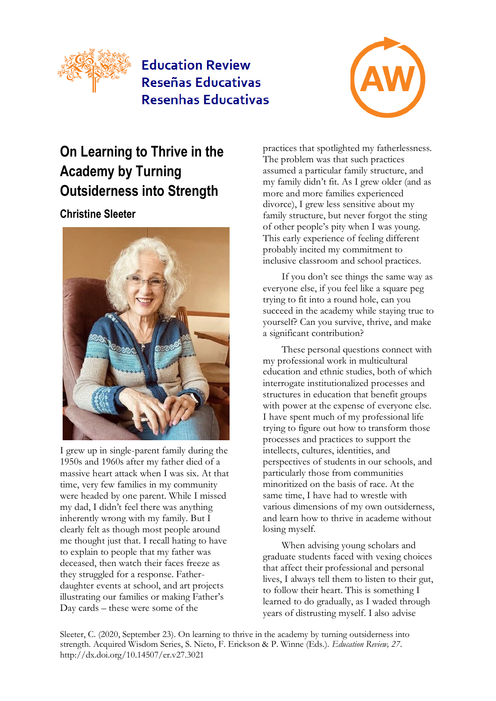

# **Education Review** Reseñas Educativas **Resenhas Educativas**



# **On Learning to Thrive in the Academy by Turning Outsiderness into Strength**

## **Christine Sleeter**



I grew up in single-parent family during the 1950s and 1960s after my father died of a massive heart attack when I was six. At that time, very few families in my community were headed by one parent. While I missed my dad, I didn't feel there was anything inherently wrong with my family. But I clearly felt as though most people around me thought just that. I recall hating to have to explain to people that my father was deceased, then watch their faces freeze as they struggled for a response. Fatherdaughter events at school, and art projects illustrating our families or making Father's Day cards – these were some of the

practices that spotlighted my fatherlessness. The problem was that such practices assumed a particular family structure, and my family didn't fit. As I grew older (and as more and more families experienced divorce), I grew less sensitive about my family structure, but never forgot the sting of other people's pity when I was young. This early experience of feeling different probably incited my commitment to inclusive classroom and school practices.

If you don't see things the same way as everyone else, if you feel like a square peg trying to fit into a round hole, can you succeed in the academy while staying true to yourself? Can you survive, thrive, and make a significant contribution?

These personal questions connect with my professional work in multicultural education and ethnic studies, both of which interrogate institutionalized processes and structures in education that benefit groups with power at the expense of everyone else. I have spent much of my professional life trying to figure out how to transform those processes and practices to support the intellects, cultures, identities, and perspectives of students in our schools, and particularly those from communities minoritized on the basis of race. At the same time, I have had to wrestle with various dimensions of my own outsiderness, and learn how to thrive in academe without losing myself.

When advising young scholars and graduate students faced with vexing choices that affect their professional and personal lives, I always tell them to listen to their gut, to follow their heart. This is something I learned to do gradually, as I waded through years of distrusting myself. I also advise

Sleeter, C. (2020, September 23). On learning to thrive in the academy by turning outsiderness into strength. Acquired Wisdom Series, S. Nieto, F. Erickson & P. Winne (Eds.). *Education Review, 27*. http://dx.doi.org/10.14507/er.v27.3021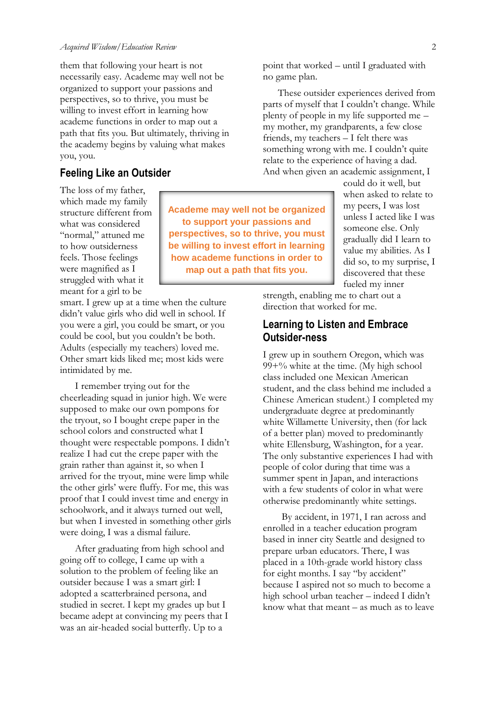them that following your heart is not necessarily easy. Academe may well not be organized to support your passions and perspectives, so to thrive, you must be willing to invest effort in learning how academe functions in order to map out a path that fits you. But ultimately, thriving in the academy begins by valuing what makes you, you.

#### **Feeling Like an Outsider**

The loss of my father, which made my family structure different from what was considered "normal," attuned me to how outsiderness feels. Those feelings were magnified as I struggled with what it meant for a girl to be

smart. I grew up at a time when the culture didn't value girls who did well in school. If you were a girl, you could be smart, or you could be cool, but you couldn't be both. Adults (especially my teachers) loved me. Other smart kids liked me; most kids were intimidated by me.

I remember trying out for the cheerleading squad in junior high. We were supposed to make our own pompons for the tryout, so I bought crepe paper in the school colors and constructed what I thought were respectable pompons. I didn't realize I had cut the crepe paper with the grain rather than against it, so when I arrived for the tryout, mine were limp while the other girls' were fluffy. For me, this was proof that I could invest time and energy in schoolwork, and it always turned out well, but when I invested in something other girls were doing, I was a dismal failure.

After graduating from high school and going off to college, I came up with a solution to the problem of feeling like an outsider because I was a smart girl: I adopted a scatterbrained persona, and studied in secret. I kept my grades up but I became adept at convincing my peers that I was an air-headed social butterfly. Up to a

**Academe may well not be organized to support your passions and perspectives, so to thrive, you must be willing to invest effort in learning how academe functions in order to map out a path that fits you.**

point that worked – until I graduated with no game plan.

These outsider experiences derived from parts of myself that I couldn't change. While plenty of people in my life supported me – my mother, my grandparents, a few close friends, my teachers – I felt there was something wrong with me. I couldn't quite relate to the experience of having a dad. And when given an academic assignment, I

could do it well, but when asked to relate to my peers, I was lost unless I acted like I was someone else. Only gradually did I learn to value my abilities. As I did so, to my surprise, I discovered that these fueled my inner

strength, enabling me to chart out a direction that worked for me.

### **Learning to Listen and Embrace Outsider-ness**

I grew up in southern Oregon, which was  $99 + \%$  white at the time. (My high school class included one Mexican American student, and the class behind me included a Chinese American student.) I completed my undergraduate degree at predominantly white Willamette University, then (for lack of a better plan) moved to predominantly white Ellensburg, Washington, for a year. The only substantive experiences I had with people of color during that time was a summer spent in Japan, and interactions with a few students of color in what were otherwise predominantly white settings.

By accident, in 1971, I ran across and enrolled in a teacher education program based in inner city Seattle and designed to prepare urban educators. There, I was placed in a 10th-grade world history class for eight months. I say "by accident" because I aspired not so much to become a high school urban teacher – indeed I didn't know what that meant – as much as to leave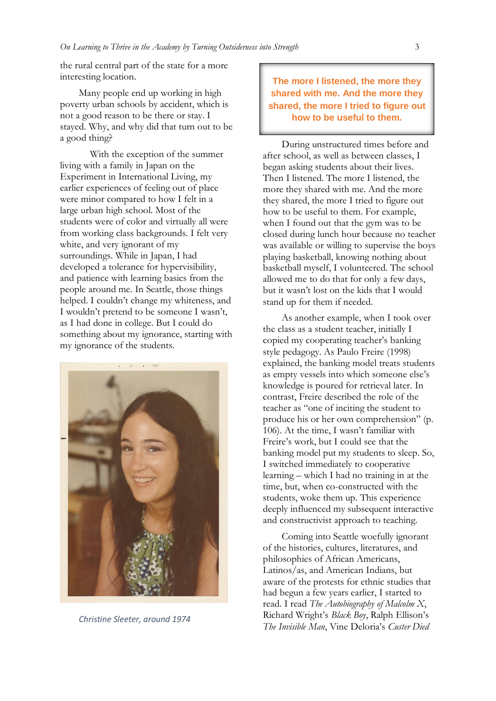the rural central part of the state for a more interesting location.

Many people end up working in high poverty urban schools by accident, which is not a good reason to be there or stay. I stayed. Why, and why did that turn out to be a good thing?

With the exception of the summer living with a family in Japan on the Experiment in International Living, my earlier experiences of feeling out of place were minor compared to how I felt in a large urban high school. Most of the students were of color and virtually all were from working class backgrounds. I felt very white, and very ignorant of my surroundings. While in Japan, I had developed a tolerance for hypervisibility, and patience with learning basics from the people around me. In Seattle, those things helped. I couldn't change my whiteness, and I wouldn't pretend to be someone I wasn't, as I had done in college. But I could do something about my ignorance, starting with my ignorance of the students.



*Christine Sleeter, around 1974*

**The more I listened, the more they shared with me. And the more they shared, the more I tried to figure out how to be useful to them.**

During unstructured times before and after school, as well as between classes, I began asking students about their lives. Then I listened. The more I listened, the more they shared with me. And the more they shared, the more I tried to figure out how to be useful to them. For example, when I found out that the gym was to be closed during lunch hour because no teacher was available or willing to supervise the boys playing basketball, knowing nothing about basketball myself, I volunteered. The school allowed me to do that for only a few days, but it wasn't lost on the kids that I would stand up for them if needed.

As another example, when I took over the class as a student teacher, initially I copied my cooperating teacher's banking style pedagogy. As Paulo Freire (1998) explained, the banking model treats students as empty vessels into which someone else's knowledge is poured for retrieval later. In contrast, Freire described the role of the teacher as "one of inciting the student to produce his or her own comprehension" (p. 106). At the time, I wasn't familiar with Freire's work, but I could see that the banking model put my students to sleep. So, I switched immediately to cooperative learning – which I had no training in at the time, but, when co-constructed with the students, woke them up. This experience deeply influenced my subsequent interactive and constructivist approach to teaching.

Coming into Seattle woefully ignorant of the histories, cultures, literatures, and philosophies of African Americans, Latinos/as, and American Indians, but aware of the protests for ethnic studies that had begun a few years earlier, I started to read. I read *The Autobiography of Malcolm X*, Richard Wright's *Black Boy*, Ralph Ellison's *The Invisible Man*, Vine Deloria's *Custer Died*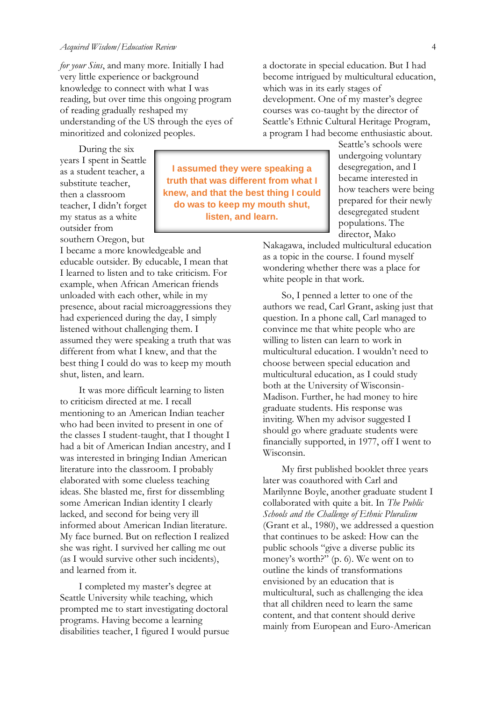*for your Sins*, and many more. Initially I had very little experience or background knowledge to connect with what I was reading, but over time this ongoing program of reading gradually reshaped my understanding of the US through the eyes of minoritized and colonized peoples.

During the six years I spent in Seattle as a student teacher, a substitute teacher, then a classroom teacher, I didn't forget my status as a white outsider from southern Oregon, but

I became a more knowledgeable and educable outsider. By educable, I mean that I learned to listen and to take criticism. For example, when African American friends unloaded with each other, while in my presence, about racial microaggressions they had experienced during the day, I simply listened without challenging them. I assumed they were speaking a truth that was different from what I knew, and that the best thing I could do was to keep my mouth shut, listen, and learn.

It was more difficult learning to listen to criticism directed at me. I recall mentioning to an American Indian teacher who had been invited to present in one of the classes I student-taught, that I thought I had a bit of American Indian ancestry, and I was interested in bringing Indian American literature into the classroom. I probably elaborated with some clueless teaching ideas. She blasted me, first for dissembling some American Indian identity I clearly lacked, and second for being very ill informed about American Indian literature. My face burned. But on reflection I realized she was right. I survived her calling me out (as I would survive other such incidents), and learned from it.

I completed my master's degree at Seattle University while teaching, which prompted me to start investigating doctoral programs. Having become a learning disabilities teacher, I figured I would pursue

**I assumed they were speaking a truth that was different from what I knew, and that the best thing I could do was to keep my mouth shut, listen, and learn.**

a doctorate in special education. But I had become intrigued by multicultural education, which was in its early stages of development. One of my master's degree courses was co-taught by the director of Seattle's Ethnic Cultural Heritage Program, a program I had become enthusiastic about.

Seattle's schools were undergoing voluntary desegregation, and I became interested in how teachers were being prepared for their newly desegregated student populations. The director, Mako

Nakagawa, included multicultural education as a topic in the course. I found myself wondering whether there was a place for white people in that work.

So, I penned a letter to one of the authors we read, Carl Grant, asking just that question. In a phone call, Carl managed to convince me that white people who are willing to listen can learn to work in multicultural education. I wouldn't need to choose between special education and multicultural education, as I could study both at the University of Wisconsin-Madison. Further, he had money to hire graduate students. His response was inviting. When my advisor suggested I should go where graduate students were financially supported, in 1977, off I went to Wisconsin.

My first published booklet three years later was coauthored with Carl and Marilynne Boyle, another graduate student I collaborated with quite a bit. In *The Public Schools and the Challenge of Ethnic Pluralism* (Grant et al., 1980), we addressed a question that continues to be asked: How can the public schools "give a diverse public its money's worth?" (p. 6). We went on to outline the kinds of transformations envisioned by an education that is multicultural, such as challenging the idea that all children need to learn the same content, and that content should derive mainly from European and Euro-American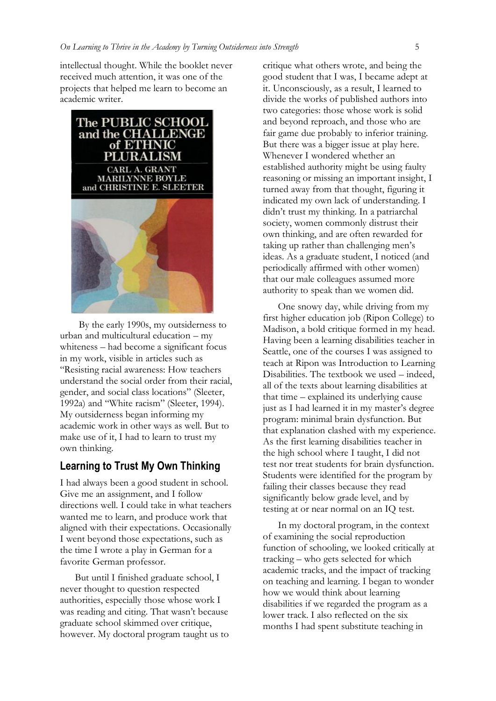intellectual thought. While the booklet never received much attention, it was one of the projects that helped me learn to become an academic writer.



By the early 1990s, my outsiderness to urban and multicultural education – my whiteness – had become a significant focus in my work, visible in articles such as "Resisting racial awareness: How teachers understand the social order from their racial, gender, and social class locations" (Sleeter, 1992a) and "White racism" (Sleeter, 1994). My outsiderness began informing my academic work in other ways as well. But to make use of it, I had to learn to trust my own thinking.

#### **Learning to Trust My Own Thinking**

I had always been a good student in school. Give me an assignment, and I follow directions well. I could take in what teachers wanted me to learn, and produce work that aligned with their expectations. Occasionally I went beyond those expectations, such as the time I wrote a play in German for a favorite German professor.

But until I finished graduate school, I never thought to question respected authorities, especially those whose work I was reading and citing. That wasn't because graduate school skimmed over critique, however. My doctoral program taught us to critique what others wrote, and being the good student that I was, I became adept at it. Unconsciously, as a result, I learned to divide the works of published authors into two categories: those whose work is solid and beyond reproach, and those who are fair game due probably to inferior training. But there was a bigger issue at play here. Whenever I wondered whether an established authority might be using faulty reasoning or missing an important insight, I turned away from that thought, figuring it indicated my own lack of understanding. I didn't trust my thinking. In a patriarchal society, women commonly distrust their own thinking, and are often rewarded for taking up rather than challenging men's ideas. As a graduate student, I noticed (and periodically affirmed with other women) that our male colleagues assumed more authority to speak than we women did.

One snowy day, while driving from my first higher education job (Ripon College) to Madison, a bold critique formed in my head. Having been a learning disabilities teacher in Seattle, one of the courses I was assigned to teach at Ripon was Introduction to Learning Disabilities. The textbook we used – indeed, all of the texts about learning disabilities at that time – explained its underlying cause just as I had learned it in my master's degree program: minimal brain dysfunction. But that explanation clashed with my experience. As the first learning disabilities teacher in the high school where I taught, I did not test nor treat students for brain dysfunction. Students were identified for the program by failing their classes because they read significantly below grade level, and by testing at or near normal on an IQ test.

In my doctoral program, in the context of examining the social reproduction function of schooling, we looked critically at tracking – who gets selected for which academic tracks, and the impact of tracking on teaching and learning. I began to wonder how we would think about learning disabilities if we regarded the program as a lower track. I also reflected on the six months I had spent substitute teaching in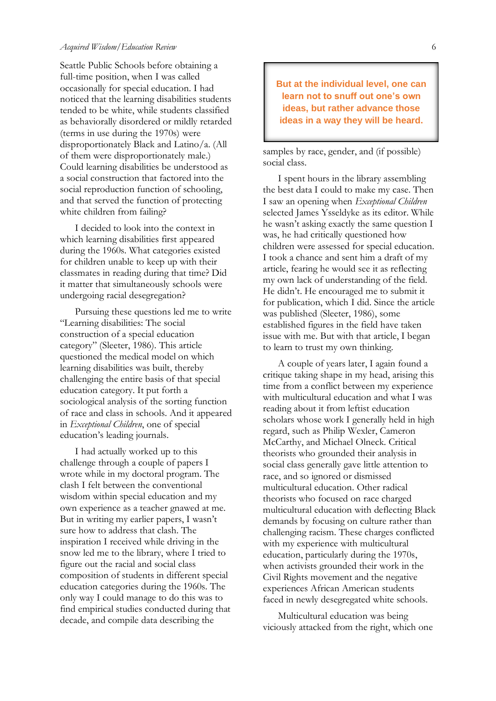Seattle Public Schools before obtaining a full-time position, when I was called occasionally for special education. I had noticed that the learning disabilities students tended to be white, while students classified as behaviorally disordered or mildly retarded (terms in use during the 1970s) were disproportionately Black and Latino/a. (All of them were disproportionately male.) Could learning disabilities be understood as a social construction that factored into the social reproduction function of schooling, and that served the function of protecting white children from failing?

I decided to look into the context in which learning disabilities first appeared during the 1960s. What categories existed for children unable to keep up with their classmates in reading during that time? Did it matter that simultaneously schools were undergoing racial desegregation?

Pursuing these questions led me to write "Learning disabilities: The social construction of a special education category" (Sleeter, 1986). This article questioned the medical model on which learning disabilities was built, thereby challenging the entire basis of that special education category. It put forth a sociological analysis of the sorting function of race and class in schools. And it appeared in *Exceptional Children*, one of special education's leading journals.

I had actually worked up to this challenge through a couple of papers I wrote while in my doctoral program. The clash I felt between the conventional wisdom within special education and my own experience as a teacher gnawed at me. But in writing my earlier papers, I wasn't sure how to address that clash. The inspiration I received while driving in the snow led me to the library, where I tried to figure out the racial and social class composition of students in different special education categories during the 1960s. The only way I could manage to do this was to find empirical studies conducted during that decade, and compile data describing the

**But at the individual level, one can learn not to snuff out one's own ideas, but rather advance those ideas in a way they will be heard.**

samples by race, gender, and (if possible) social class.

I spent hours in the library assembling the best data I could to make my case. Then I saw an opening when *Exceptional Children* selected James Ysseldyke as its editor. While he wasn't asking exactly the same question I was, he had critically questioned how children were assessed for special education. I took a chance and sent him a draft of my article, fearing he would see it as reflecting my own lack of understanding of the field. He didn't. He encouraged me to submit it for publication, which I did. Since the article was published (Sleeter, 1986), some established figures in the field have taken issue with me. But with that article, I began to learn to trust my own thinking.

A couple of years later, I again found a critique taking shape in my head, arising this time from a conflict between my experience with multicultural education and what I was reading about it from leftist education scholars whose work I generally held in high regard, such as Philip Wexler, Cameron McCarthy, and Michael Olneck. Critical theorists who grounded their analysis in social class generally gave little attention to race, and so ignored or dismissed multicultural education. Other radical theorists who focused on race charged multicultural education with deflecting Black demands by focusing on culture rather than challenging racism. These charges conflicted with my experience with multicultural education, particularly during the 1970s, when activists grounded their work in the Civil Rights movement and the negative experiences African American students faced in newly desegregated white schools.

Multicultural education was being viciously attacked from the right, which one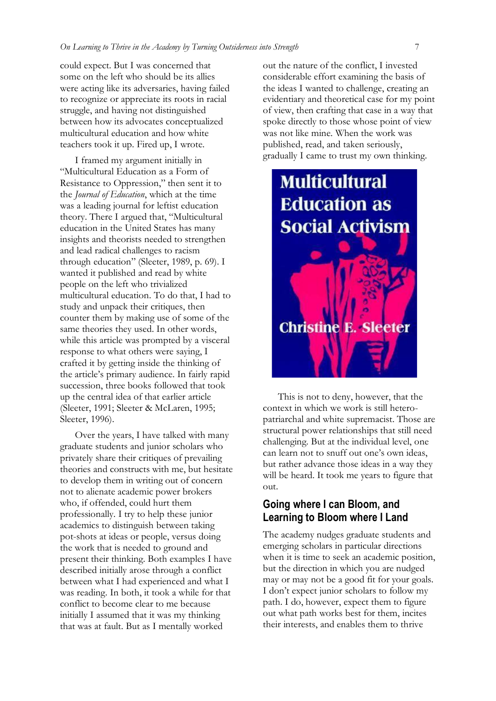could expect. But I was concerned that some on the left who should be its allies were acting like its adversaries, having failed to recognize or appreciate its roots in racial struggle, and having not distinguished between how its advocates conceptualized multicultural education and how white teachers took it up. Fired up, I wrote.

I framed my argument initially in "Multicultural Education as a Form of Resistance to Oppression," then sent it to the *Journal of Education*, which at the time was a leading journal for leftist education theory. There I argued that, "Multicultural education in the United States has many insights and theorists needed to strengthen and lead radical challenges to racism through education" (Sleeter, 1989, p. 69). I wanted it published and read by white people on the left who trivialized multicultural education. To do that, I had to study and unpack their critiques, then counter them by making use of some of the same theories they used. In other words, while this article was prompted by a visceral response to what others were saying, I crafted it by getting inside the thinking of the article's primary audience. In fairly rapid succession, three books followed that took up the central idea of that earlier article (Sleeter, 1991; Sleeter & McLaren, 1995; Sleeter, 1996).

Over the years, I have talked with many graduate students and junior scholars who privately share their critiques of prevailing theories and constructs with me, but hesitate to develop them in writing out of concern not to alienate academic power brokers who, if offended, could hurt them professionally. I try to help these junior academics to distinguish between taking pot-shots at ideas or people, versus doing the work that is needed to ground and present their thinking. Both examples I have described initially arose through a conflict between what I had experienced and what I was reading. In both, it took a while for that conflict to become clear to me because initially I assumed that it was my thinking that was at fault. But as I mentally worked

out the nature of the conflict, I invested considerable effort examining the basis of the ideas I wanted to challenge, creating an evidentiary and theoretical case for my point of view, then crafting that case in a way that spoke directly to those whose point of view was not like mine. When the work was published, read, and taken seriously, gradually I came to trust my own thinking.

# **Multicultural Education as Social Activism Christine E. Sleeter**

This is not to deny, however, that the context in which we work is still heteropatriarchal and white supremacist. Those are structural power relationships that still need challenging. But at the individual level, one can learn not to snuff out one's own ideas, but rather advance those ideas in a way they will be heard. It took me years to figure that out.

#### **Going where I can Bloom, and Learning to Bloom where I Land**

The academy nudges graduate students and emerging scholars in particular directions when it is time to seek an academic position, but the direction in which you are nudged may or may not be a good fit for your goals. I don't expect junior scholars to follow my path. I do, however, expect them to figure out what path works best for them, incites their interests, and enables them to thrive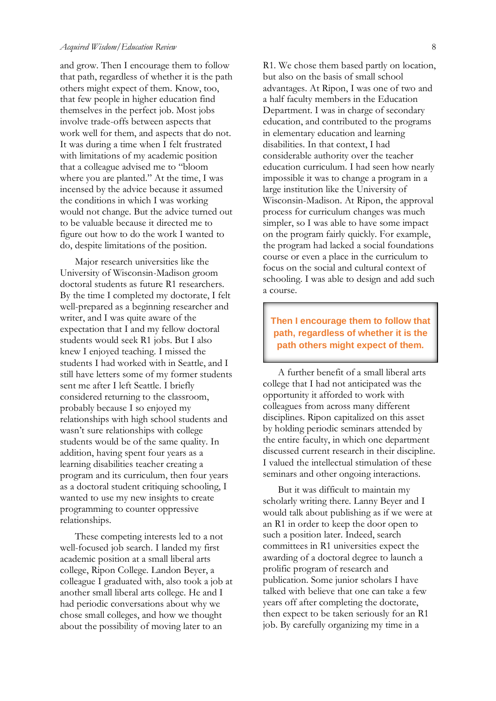and grow. Then I encourage them to follow that path, regardless of whether it is the path others might expect of them. Know, too, that few people in higher education find themselves in the perfect job. Most jobs involve trade-offs between aspects that work well for them, and aspects that do not. It was during a time when I felt frustrated with limitations of my academic position that a colleague advised me to "bloom where you are planted." At the time, I was incensed by the advice because it assumed the conditions in which I was working would not change. But the advice turned out to be valuable because it directed me to figure out how to do the work I wanted to do, despite limitations of the position.

Major research universities like the University of Wisconsin-Madison groom doctoral students as future R1 researchers. By the time I completed my doctorate, I felt well-prepared as a beginning researcher and writer, and I was quite aware of the expectation that I and my fellow doctoral students would seek R1 jobs. But I also knew I enjoyed teaching. I missed the students I had worked with in Seattle, and I still have letters some of my former students sent me after I left Seattle. I briefly considered returning to the classroom, probably because I so enjoyed my relationships with high school students and wasn't sure relationships with college students would be of the same quality. In addition, having spent four years as a learning disabilities teacher creating a program and its curriculum, then four years as a doctoral student critiquing schooling, I wanted to use my new insights to create programming to counter oppressive relationships.

These competing interests led to a not well-focused job search. I landed my first academic position at a small liberal arts college, Ripon College. Landon Beyer, a colleague I graduated with, also took a job at another small liberal arts college. He and I had periodic conversations about why we chose small colleges, and how we thought about the possibility of moving later to an

R1. We chose them based partly on location, but also on the basis of small school advantages. At Ripon, I was one of two and a half faculty members in the Education Department. I was in charge of secondary education, and contributed to the programs in elementary education and learning disabilities. In that context, I had considerable authority over the teacher education curriculum. I had seen how nearly impossible it was to change a program in a large institution like the University of Wisconsin-Madison. At Ripon, the approval process for curriculum changes was much simpler, so I was able to have some impact on the program fairly quickly. For example, the program had lacked a social foundations course or even a place in the curriculum to focus on the social and cultural context of schooling. I was able to design and add such a course.

**Then I encourage them to follow that path, regardless of whether it is the path others might expect of them.**

A further benefit of a small liberal arts college that I had not anticipated was the opportunity it afforded to work with colleagues from across many different disciplines. Ripon capitalized on this asset by holding periodic seminars attended by the entire faculty, in which one department discussed current research in their discipline. I valued the intellectual stimulation of these seminars and other ongoing interactions.

But it was difficult to maintain my scholarly writing there. Lanny Beyer and I would talk about publishing as if we were at an R1 in order to keep the door open to such a position later. Indeed, search committees in R1 universities expect the awarding of a doctoral degree to launch a prolific program of research and publication. Some junior scholars I have talked with believe that one can take a few years off after completing the doctorate, then expect to be taken seriously for an R1 job. By carefully organizing my time in a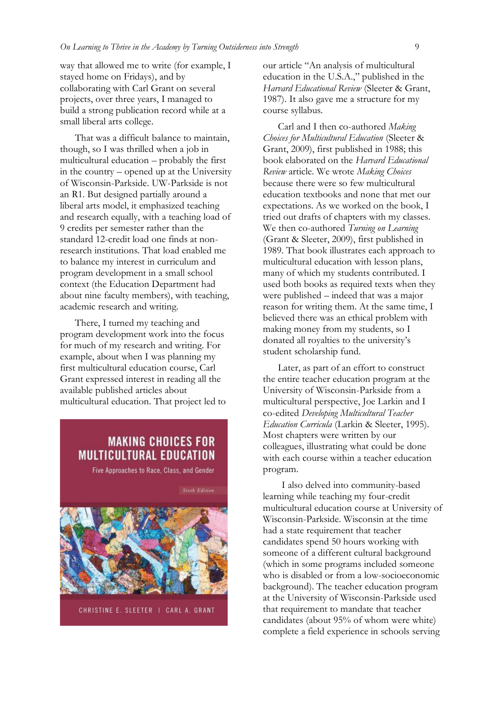way that allowed me to write (for example, I stayed home on Fridays), and by collaborating with Carl Grant on several projects, over three years, I managed to build a strong publication record while at a small liberal arts college.

That was a difficult balance to maintain, though, so I was thrilled when a job in multicultural education – probably the first in the country – opened up at the University of Wisconsin-Parkside. UW-Parkside is not an R1. But designed partially around a liberal arts model, it emphasized teaching and research equally, with a teaching load of 9 credits per semester rather than the standard 12-credit load one finds at nonresearch institutions. That load enabled me to balance my interest in curriculum and program development in a small school context (the Education Department had about nine faculty members), with teaching, academic research and writing.

There, I turned my teaching and program development work into the focus for much of my research and writing. For example, about when I was planning my first multicultural education course, Carl Grant expressed interest in reading all the available published articles about multicultural education. That project led to

## **MAKING CHOICES FOR MULTICULTURAL EDUCATION**

Five Approaches to Race, Class, and Gender



CHRISTINE E. SLEETER | CARL A. GRANT

our article "An analysis of multicultural education in the U.S.A.," published in the *Harvard Educational Review* (Sleeter & Grant, 1987). It also gave me a structure for my course syllabus.

Carl and I then co-authored *Making Choices for Multicultural Education* (Sleeter & Grant, 2009), first published in 1988; this book elaborated on the *Harvard Educational Review* article. We wrote *Making Choices* because there were so few multicultural education textbooks and none that met our expectations. As we worked on the book, I tried out drafts of chapters with my classes. We then co-authored *Turning on Learning* (Grant & Sleeter, 2009), first published in 1989. That book illustrates each approach to multicultural education with lesson plans, many of which my students contributed. I used both books as required texts when they were published – indeed that was a major reason for writing them. At the same time, I believed there was an ethical problem with making money from my students, so I donated all royalties to the university's student scholarship fund.

Later, as part of an effort to construct the entire teacher education program at the University of Wisconsin-Parkside from a multicultural perspective, Joe Larkin and I co-edited *Developing Multicultural Teacher Education Curricula* (Larkin & Sleeter, 1995). Most chapters were written by our colleagues, illustrating what could be done with each course within a teacher education program.

I also delved into community-based learning while teaching my four-credit multicultural education course at University of Wisconsin-Parkside. Wisconsin at the time had a state requirement that teacher candidates spend 50 hours working with someone of a different cultural background (which in some programs included someone who is disabled or from a low-socioeconomic background). The teacher education program at the University of Wisconsin-Parkside used that requirement to mandate that teacher candidates (about 95% of whom were white) complete a field experience in schools serving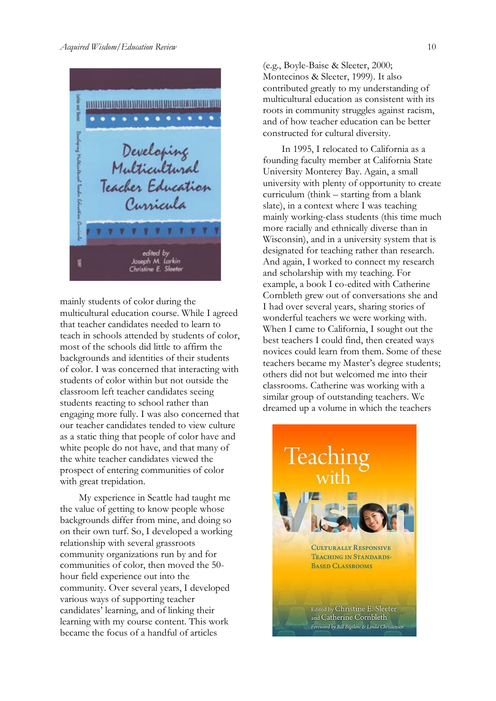

mainly students of color during the multicultural education course. While I agreed that teacher candidates needed to learn to teach in schools attended by students of color, most of the schools did little to affirm the backgrounds and identities of their students of color. I was concerned that interacting with students of color within but not outside the classroom left teacher candidates seeing students reacting to school rather than engaging more fully. I was also concerned that our teacher candidates tended to view culture as a static thing that people of color have and white people do not have, and that many of the white teacher candidates viewed the prospect of entering communities of color with great trepidation.

My experience in Seattle had taught me the value of getting to know people whose backgrounds differ from mine, and doing so on their own turf. So, I developed a working relationship with several grassroots community organizations run by and for communities of color, then moved the 50 hour field experience out into the community. Over several years, I developed various ways of supporting teacher candidates' learning, and of linking their learning with my course content. This work became the focus of a handful of articles

(e.g., Boyle-Baise & Sleeter, 2000; Montecinos & Sleeter, 1999). It also contributed greatly to my understanding of multicultural education as consistent with its roots in community struggles against racism, and of how teacher education can be better constructed for cultural diversity.

In 1995, I relocated to California as a founding faculty member at California State University Monterey Bay. Again, a small university with plenty of opportunity to create curriculum (think – starting from a blank slate), in a context where I was teaching mainly working-class students (this time much more racially and ethnically diverse than in Wisconsin), and in a university system that is designated for teaching rather than research. And again, I worked to connect my research and scholarship with my teaching. For example, a book I co-edited with Catherine Cornbleth grew out of conversations she and I had over several years, sharing stories of wonderful teachers we were working with. When I came to California, I sought out the best teachers I could find, then created ways novices could learn from them. Some of these teachers became my Master's degree students; others did not but welcomed me into their classrooms. Catherine was working with a similar group of outstanding teachers. We dreamed up a volume in which the teachers

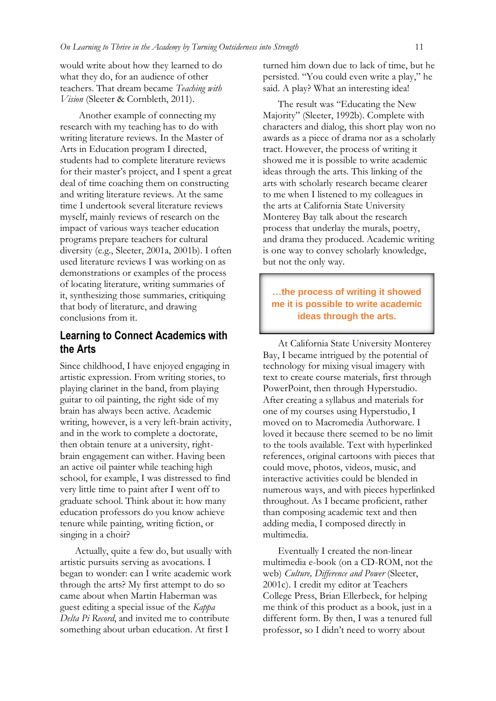would write about how they learned to do what they do, for an audience of other teachers. That dream became *Teaching with Vision* (Sleeter & Cornbleth, 2011).

Another example of connecting my research with my teaching has to do with writing literature reviews. In the Master of Arts in Education program I directed, students had to complete literature reviews for their master's project, and I spent a great deal of time coaching them on constructing and writing literature reviews. At the same time I undertook several literature reviews myself, mainly reviews of research on the impact of various ways teacher education programs prepare teachers for cultural diversity (e.g., Sleeter, 2001a, 2001b). I often used literature reviews I was working on as demonstrations or examples of the process of locating literature, writing summaries of it, synthesizing those summaries, critiquing that body of literature, and drawing conclusions from it.

## **Learning to Connect Academics with the Arts**

Since childhood, I have enjoyed engaging in artistic expression. From writing stories, to playing clarinet in the band, from playing guitar to oil painting, the right side of my brain has always been active. Academic writing, however, is a very left-brain activity, and in the work to complete a doctorate, then obtain tenure at a university, rightbrain engagement can wither. Having been an active oil painter while teaching high school, for example, I was distressed to find very little time to paint after I went off to graduate school. Think about it: how many education professors do you know achieve tenure while painting, writing fiction, or singing in a choir?

Actually, quite a few do, but usually with artistic pursuits serving as avocations. I began to wonder: can I write academic work through the arts? My first attempt to do so came about when Martin Haberman was guest editing a special issue of the *Kappa Delta Pi Record*, and invited me to contribute something about urban education. At first I

turned him down due to lack of time, but he persisted. "You could even write a play," he said. A play? What an interesting idea!

The result was "Educating the New Majority" (Sleeter, 1992b). Complete with characters and dialog, this short play won no awards as a piece of drama nor as a scholarly tract. However, the process of writing it showed me it is possible to write academic ideas through the arts. This linking of the arts with scholarly research became clearer to me when I listened to my colleagues in the arts at California State University Monterey Bay talk about the research process that underlay the murals, poetry, and drama they produced. Academic writing is one way to convey scholarly knowledge, but not the only way.

#### **…the process of writing it showed me it is possible to write academic ideas through the arts.**

At California State University Monterey Bay, I became intrigued by the potential of technology for mixing visual imagery with text to create course materials, first through PowerPoint, then through Hyperstudio. After creating a syllabus and materials for one of my courses using Hyperstudio, I moved on to Macromedia Authorware. I loved it because there seemed to be no limit to the tools available. Text with hyperlinked references, original cartoons with pieces that could move, photos, videos, music, and interactive activities could be blended in numerous ways, and with pieces hyperlinked throughout. As I became proficient, rather than composing academic text and then adding media, I composed directly in multimedia.

Eventually I created the non-linear multimedia e-book (on a CD-ROM, not the web) *Culture, Difference and Power* (Sleeter, 2001c). I credit my editor at Teachers College Press, Brian Ellerbeck, for helping me think of this product as a book, just in a different form. By then, I was a tenured full professor, so I didn't need to worry about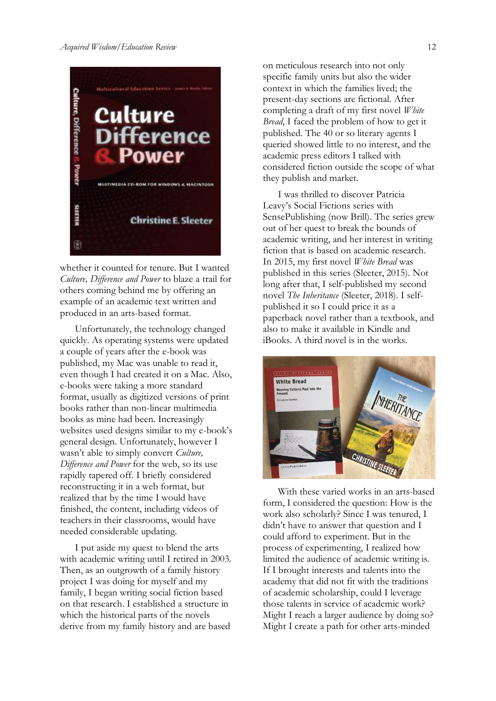

whether it counted for tenure. But I wanted *Culture, Difference and Power* to blaze a trail for others coming behind me by offering an example of an academic text written and produced in an arts-based format.

Unfortunately, the technology changed quickly. As operating systems were updated a couple of years after the e-book was published, my Mac was unable to read it, even though I had created it on a Mac. Also, e-books were taking a more standard format, usually as digitized versions of print books rather than non-linear multimedia books as mine had been. Increasingly websites used designs similar to my e-book's general design. Unfortunately, however I wasn't able to simply convert *Culture, Difference and Power* for the web, so its use rapidly tapered off. I briefly considered reconstructing it in a web format, but realized that by the time I would have finished, the content, including videos of teachers in their classrooms, would have needed considerable updating.

I put aside my quest to blend the arts with academic writing until I retired in 2003. Then, as an outgrowth of a family history project I was doing for myself and my family, I began writing social fiction based on that research. I established a structure in which the historical parts of the novels derive from my family history and are based on meticulous research into not only specific family units but also the wider context in which the families lived; the present-day sections are fictional. After completing a draft of my first novel *White Bread*, I faced the problem of how to get it published. The 40 or so literary agents I queried showed little to no interest, and the academic press editors I talked with considered fiction outside the scope of what they publish and market.

I was thrilled to discover Patricia Leavy's Social Fictions series with SensePublishing (now Brill). The series grew out of her quest to break the bounds of academic writing, and her interest in writing fiction that is based on academic research. In 2015, my first novel *White Bread* was published in this series (Sleeter, 2015). Not long after that, I self-published my second novel *The Inheritance* (Sleeter, 2018). I selfpublished it so I could price it as a paperback novel rather than a textbook, and also to make it available in Kindle and iBooks. A third novel is in the works.



With these varied works in an arts-based form, I considered the question: How is the work also scholarly? Since I was tenured, I didn't have to answer that question and I could afford to experiment. But in the process of experimenting, I realized how limited the audience of academic writing is. If I brought interests and talents into the academy that did not fit with the traditions of academic scholarship, could I leverage those talents in service of academic work? Might I reach a larger audience by doing so? Might I create a path for other arts-minded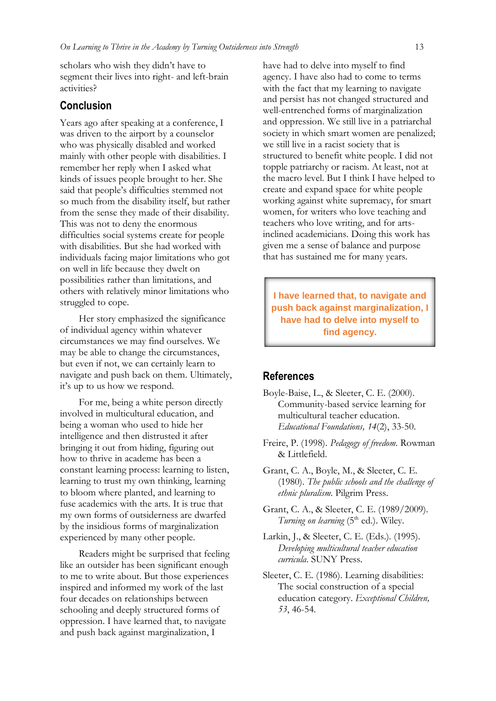scholars who wish they didn't have to segment their lives into right- and left-brain activities?

#### **Conclusion**

Years ago after speaking at a conference, I was driven to the airport by a counselor who was physically disabled and worked mainly with other people with disabilities. I remember her reply when I asked what kinds of issues people brought to her. She said that people's difficulties stemmed not so much from the disability itself, but rather from the sense they made of their disability. This was not to deny the enormous difficulties social systems create for people with disabilities. But she had worked with individuals facing major limitations who got on well in life because they dwelt on possibilities rather than limitations, and others with relatively minor limitations who struggled to cope.

Her story emphasized the significance of individual agency within whatever circumstances we may find ourselves. We may be able to change the circumstances, but even if not, we can certainly learn to navigate and push back on them. Ultimately, it's up to us how we respond.

For me, being a white person directly involved in multicultural education, and being a woman who used to hide her intelligence and then distrusted it after bringing it out from hiding, figuring out how to thrive in academe has been a constant learning process: learning to listen, learning to trust my own thinking, learning to bloom where planted, and learning to fuse academics with the arts. It is true that my own forms of outsiderness are dwarfed by the insidious forms of marginalization experienced by many other people.

Readers might be surprised that feeling like an outsider has been significant enough to me to write about. But those experiences inspired and informed my work of the last four decades on relationships between schooling and deeply structured forms of oppression. I have learned that, to navigate and push back against marginalization, I

have had to delve into myself to find agency. I have also had to come to terms with the fact that my learning to navigate and persist has not changed structured and well-entrenched forms of marginalization and oppression. We still live in a patriarchal society in which smart women are penalized; we still live in a racist society that is structured to benefit white people. I did not topple patriarchy or racism. At least, not at the macro level. But I think I have helped to create and expand space for white people working against white supremacy, for smart women, for writers who love teaching and teachers who love writing, and for artsinclined academicians. Doing this work has given me a sense of balance and purpose that has sustained me for many years.

**I have learned that, to navigate and push back against marginalization, I have had to delve into myself to find agency.**

#### **References**

- Boyle-Baise, L., & Sleeter, C. E. (2000). Community-based service learning for multicultural teacher education. *Educational Foundations, 14*(2), 33-50.
- Freire, P. (1998). *Pedagogy of freedom*. Rowman & Littlefield.
- Grant, C. A., Boyle, M., & Sleeter, C. E. (1980). *The public schools and the challenge of ethnic pluralism*. Pilgrim Press.
- Grant, C. A., & Sleeter, C. E. (1989/2009). Turning on learning (5<sup>th</sup> ed.). Wiley.
- Larkin, J., & Sleeter, C. E. (Eds.). (1995). *Developing multicultural teacher education curricula*. SUNY Press.
- Sleeter, C. E. (1986). Learning disabilities: The social construction of a special education category. *Exceptional Children, 53*, 46-54.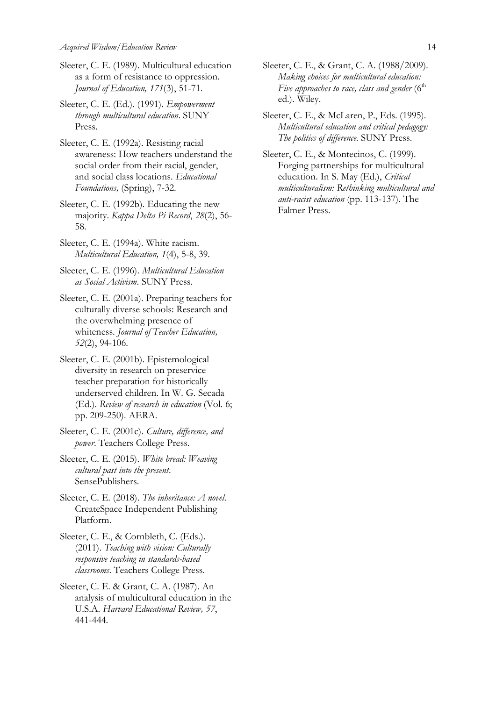- Sleeter, C. E. (1989). Multicultural education as a form of resistance to oppression. *Journal of Education, 171*(3), 51-71.
- Sleeter, C. E. (Ed.). (1991). *Empowerment through multicultural education*. SUNY Press.
- Sleeter, C. E. (1992a). Resisting racial awareness: How teachers understand the social order from their racial, gender, and social class locations. *Educational Foundations,* (Spring), 7-32.
- Sleeter, C. E. (1992b). Educating the new majority. *Kappa Delta Pi Record*, *28*(2), 56- 58.
- Sleeter, C. E. (1994a). White racism*. Multicultural Education, 1*(4), 5-8, 39.
- Sleeter, C. E. (1996). *Multicultural Education as Social Activism*. SUNY Press.
- Sleeter, C. E. (2001a). Preparing teachers for culturally diverse schools: Research and the overwhelming presence of whiteness. *Journal of Teacher Education, 52*(2), 94-106.
- Sleeter, C. E. (2001b). Epistemological diversity in research on preservice teacher preparation for historically underserved children. In W. G. Secada (Ed.). *Review of research in education* (Vol. 6; pp. 209-250). AERA.
- Sleeter, C. E. (2001c). *Culture, difference, and power*. Teachers College Press.
- Sleeter, C. E. (2015). *White bread: Weaving cultural past into the present*. SensePublishers.
- Sleeter, C. E. (2018). *The inheritance: A novel*. CreateSpace Independent Publishing Platform.
- Sleeter, C. E., & Cornbleth, C. (Eds.). (2011). *Teaching with vision: Culturally responsive teaching in standards-based classrooms*. Teachers College Press.
- Sleeter, C. E. & Grant, C. A. (1987). An analysis of multicultural education in the U.S.A. *Harvard Educational Review, 57*, 441-444.
- Sleeter, C. E., & Grant, C. A. (1988/2009)*. Making choices for multicultural education:*  Five approaches to race, class and gender (6<sup>th</sup> ed.). Wiley.
- Sleeter, C. E., & McLaren, P., Eds. (1995). *Multicultural education and critical pedagogy: The politics of difference*. SUNY Press.
- Sleeter, C. E., & Montecinos, C. (1999). Forging partnerships for multicultural education. In S. May (Ed.), *Critical multiculturalism: Rethinking multicultural and anti-racist education* (pp. 113-137). The Falmer Press.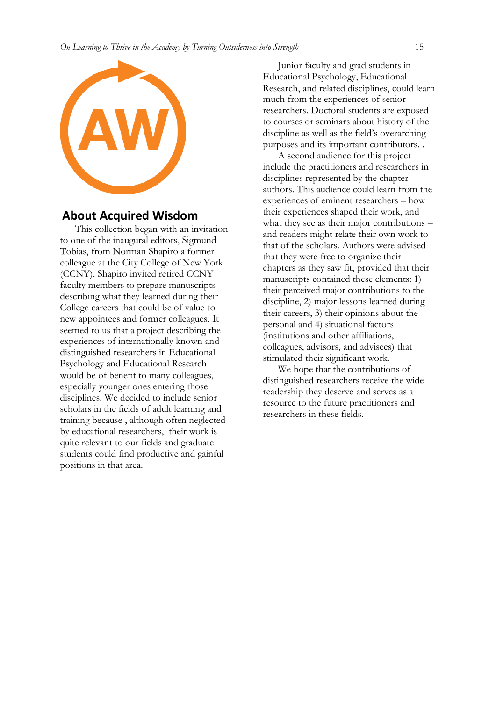

#### **About Acquired Wisdom**

This collection began with an invitation to one of the inaugural editors, Sigmund Tobias, from Norman Shapiro a former colleague at the City College of New York (CCNY). Shapiro invited retired CCNY faculty members to prepare manuscripts describing what they learned during their College careers that could be of value to new appointees and former colleagues. It seemed to us that a project describing the experiences of internationally known and distinguished researchers in Educational Psychology and Educational Research would be of benefit to many colleagues, especially younger ones entering those disciplines. We decided to include senior scholars in the fields of adult learning and training because , although often neglected by educational researchers, their work is quite relevant to our fields and graduate students could find productive and gainful positions in that area.

Junior faculty and grad students in Educational Psychology, Educational Research, and related disciplines, could learn much from the experiences of senior researchers. Doctoral students are exposed to courses or seminars about history of the discipline as well as the field's overarching purposes and its important contributors. .

A second audience for this project include the practitioners and researchers in disciplines represented by the chapter authors. This audience could learn from the experiences of eminent researchers – how their experiences shaped their work, and what they see as their major contributions – and readers might relate their own work to that of the scholars. Authors were advised that they were free to organize their chapters as they saw fit, provided that their manuscripts contained these elements: 1) their perceived major contributions to the discipline, 2) major lessons learned during their careers, 3) their opinions about the personal and 4) situational factors (institutions and other affiliations, colleagues, advisors, and advisees) that stimulated their significant work.

We hope that the contributions of distinguished researchers receive the wide readership they deserve and serves as a resource to the future practitioners and researchers in these fields.